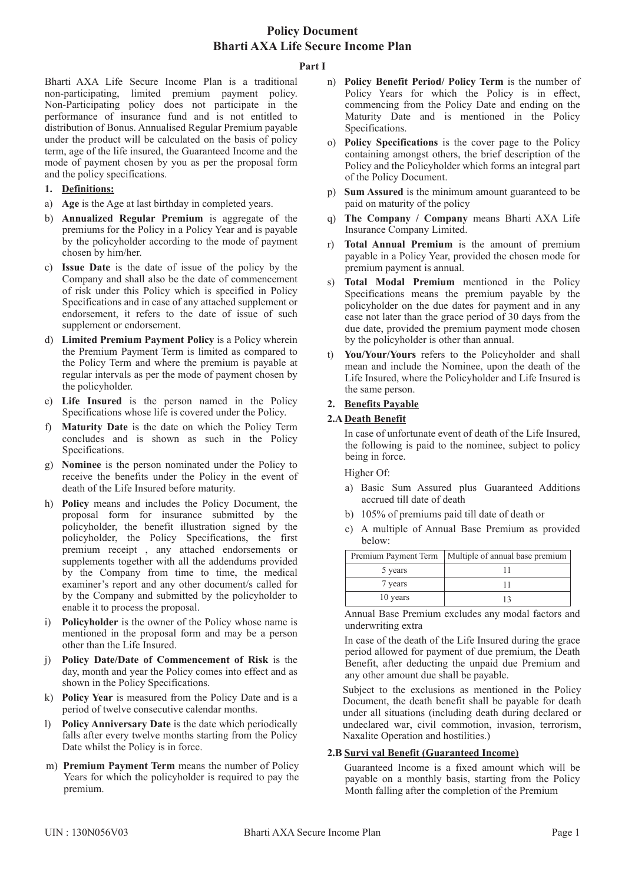### **Part I**

Bharti AXA Life Secure Income Plan is a traditional non-participating, limited premium payment policy. Non-Participating policy does not participate in the performance of insurance fund and is not entitled to distribution of Bonus. Annualised Regular Premium payable under the product will be calculated on the basis of policy term, age of the life insured, the Guaranteed Income and the mode of payment chosen by you as per the proposal form and the policy specifications.

# **1. Definitions:**

- a) **Age** is the Age at last birthday in completed years.
- b) **Annualized Regular Premium** is aggregate of the premiums for the Policy in a Policy Year and is payable by the policyholder according to the mode of payment chosen by him/her.
- c) **Issue Date** is the date of issue of the policy by the Company and shall also be the date of commencement of risk under this Policy which is specified in Policy Specifications and in case of any attached supplement or endorsement, it refers to the date of issue of such supplement or endorsement.
- d) **Limited Premium Payment Policy** is a Policy wherein the Premium Payment Term is limited as compared to the Policy Term and where the premium is payable at regular intervals as per the mode of payment chosen by the policyholder.
- e) **Life Insured** is the person named in the Policy Specifications whose life is covered under the Policy.
- f) **Maturity Date** is the date on which the Policy Term concludes and is shown as such in the Policy Specifications.
- g) **Nominee** is the person nominated under the Policy to receive the benefits under the Policy in the event of death of the Life Insured before maturity.
- h) **Policy** means and includes the Policy Document, the proposal form for insurance submitted by the policyholder, the benefit illustration signed by the policyholder, the Policy Specifications, the first premium receipt , any attached endorsements or supplements together with all the addendums provided by the Company from time to time, the medical examiner's report and any other document/s called for by the Company and submitted by the policyholder to enable it to process the proposal.
- i) **Policyholder** is the owner of the Policy whose name is mentioned in the proposal form and may be a person other than the Life Insured.
- j) **Policy Date/Date of Commencement of Risk** is the day, month and year the Policy comes into effect and as shown in the Policy Specifications.
- k) **Policy Year** is measured from the Policy Date and is a period of twelve consecutive calendar months.
- l) **Policy Anniversary Date** is the date which periodically falls after every twelve months starting from the Policy Date whilst the Policy is in force.
- m) **Premium Payment Term** means the number of Policy Years for which the policyholder is required to pay the premium.
- n) **Policy Benefit Period/ Policy Term** is the number of Policy Years for which the Policy is in effect, commencing from the Policy Date and ending on the Maturity Date and is mentioned in the Policy Specifications.
- o) **Policy Specifications** is the cover page to the Policy containing amongst others, the brief description of the Policy and the Policyholder which forms an integral part of the Policy Document.
- p) **Sum Assured** is the minimum amount guaranteed to be paid on maturity of the policy
- q) **The Company / Company** means Bharti AXA Life Insurance Company Limited.
- r) **Total Annual Premium** is the amount of premium payable in a Policy Year, provided the chosen mode for premium payment is annual.
- **Total Modal Premium** mentioned in the Policy Specifications means the premium payable by the policyholder on the due dates for payment and in any case not later than the grace period of 30 days from the due date, provided the premium payment mode chosen by the policyholder is other than annual.
- t) **You/Your/Yours** refers to the Policyholder and shall mean and include the Nominee, upon the death of the Life Insured, where the Policyholder and Life Insured is the same person.

# **2. Benefits Payable**

# **2.A Death Benefit**

In case of unfortunate event of death of the Life Insured, the following is paid to the nominee, subject to policy being in force.

Higher Of:

- a) Basic Sum Assured plus Guaranteed Additions accrued till date of death
- b) 105% of premiums paid till date of death or
- c) A multiple of Annual Base Premium as provided below:

| Premium Payment Term | Multiple of annual base premium |
|----------------------|---------------------------------|
| 5 years              |                                 |
| 7 years              |                                 |
| 10 years             |                                 |

Annual Base Premium excludes any modal factors and underwriting extra

In case of the death of the Life Insured during the grace period allowed for payment of due premium, the Death Benefit, after deducting the unpaid due Premium and any other amount due shall be payable.

Subject to the exclusions as mentioned in the Policy Document, the death benefit shall be payable for death under all situations (including death during declared or undeclared war, civil commotion, invasion, terrorism, Naxalite Operation and hostilities.)

## **2.B Survi val Benefit (Guaranteed Income)**

Guaranteed Income is a fixed amount which will be payable on a monthly basis, starting from the Policy Month falling after the completion of the Premium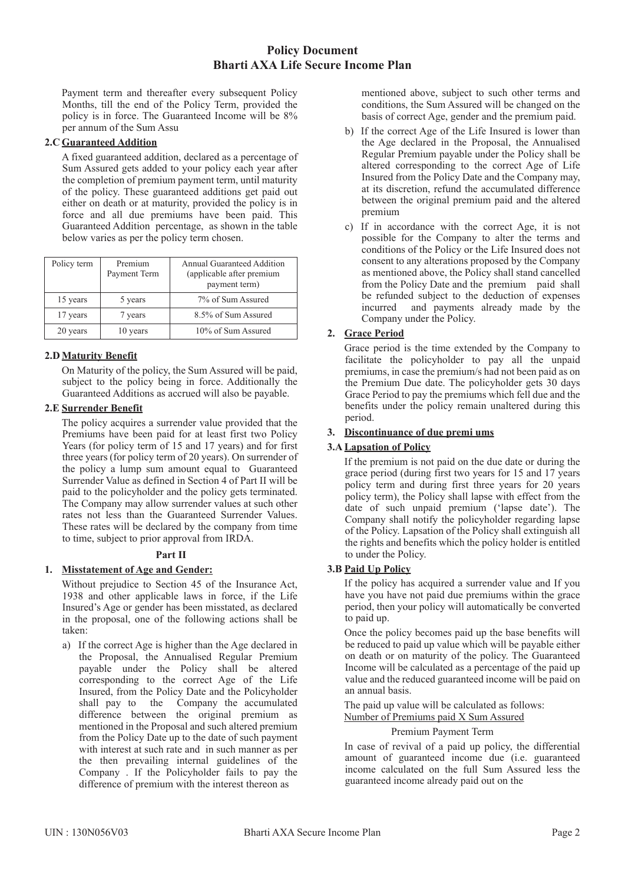Payment term and thereafter every subsequent Policy Months, till the end of the Policy Term, provided the policy is in force. The Guaranteed Income will be 8% per annum of the Sum Assu

### **2.C Guaranteed Addition**

A fixed guaranteed addition, declared as a percentage of Sum Assured gets added to your policy each year after the completion of premium payment term, until maturity of the policy. These guaranteed additions get paid out either on death or at maturity, provided the policy is in force and all due premiums have been paid. This Guaranteed Addition percentage, as shown in the table below varies as per the policy term chosen.

| Policy term | Premium<br>Payment Term | <b>Annual Guaranteed Addition</b><br>(applicable after premium<br>payment term) |
|-------------|-------------------------|---------------------------------------------------------------------------------|
| 15 years    | 5 years                 | 7% of Sum Assured                                                               |
| 17 years    | 7 years                 | 8.5% of Sum Assured                                                             |
| 20 years    | 10 years                | 10% of Sum Assured                                                              |

## **2.D Maturity Benefit**

On Maturity of the policy, the Sum Assured will be paid, subject to the policy being in force. Additionally the Guaranteed Additions as accrued will also be payable.

### **2.E Surrender Benefit**

The policy acquires a surrender value provided that the Premiums have been paid for at least first two Policy Years (for policy term of 15 and 17 years) and for first three years (for policy term of 20 years). On surrender of the policy a lump sum amount equal to Guaranteed Surrender Value as defined in Section 4 of Part II will be paid to the policyholder and the policy gets terminated. The Company may allow surrender values at such other rates not less than the Guaranteed Surrender Values. These rates will be declared by the company from time to time, subject to prior approval from IRDA.

## **Part II**

## **1. Misstatement of Age and Gender:**

Without prejudice to Section 45 of the Insurance Act, 1938 and other applicable laws in force, if the Life Insured's Age or gender has been misstated, as declared in the proposal, one of the following actions shall be taken:

a) If the correct Age is higher than the Age declared in the Proposal, the Annualised Regular Premium payable under the Policy shall be altered corresponding to the correct Age of the Life Insured, from the Policy Date and the Policyholder shall pay to the Company the accumulated difference between the original premium as mentioned in the Proposal and such altered premium from the Policy Date up to the date of such payment with interest at such rate and in such manner as per the then prevailing internal guidelines of the Company . If the Policyholder fails to pay the difference of premium with the interest thereon as

mentioned above, subject to such other terms and conditions, the Sum Assured will be changed on the basis of correct Age, gender and the premium paid.

- b) If the correct Age of the Life Insured is lower than the Age declared in the Proposal, the Annualised Regular Premium payable under the Policy shall be altered corresponding to the correct Age of Life Insured from the Policy Date and the Company may, at its discretion, refund the accumulated difference between the original premium paid and the altered premium
- c) If in accordance with the correct Age, it is not possible for the Company to alter the terms and conditions of the Policy or the Life Insured does not consent to any alterations proposed by the Company as mentioned above, the Policy shall stand cancelled from the Policy Date and the premium paid shall be refunded subject to the deduction of expenses incurred and payments already made by the Company under the Policy.

# **2. Grace Period**

Grace period is the time extended by the Company to facilitate the policyholder to pay all the unpaid premiums, in case the premium/s had not been paid as on the Premium Due date. The policyholder gets 30 days Grace Period to pay the premiums which fell due and the benefits under the policy remain unaltered during this period.

### **3. Discontinuance of due premi ums**

### **3.A Lapsation of Policy**

If the premium is not paid on the due date or during the grace period (during first two years for 15 and 17 years policy term and during first three years for 20 years policy term), the Policy shall lapse with effect from the date of such unpaid premium ('lapse date'). The Company shall notify the policyholder regarding lapse of the Policy. Lapsation of the Policy shall extinguish all the rights and benefits which the policy holder is entitled to under the Policy.

### **3.B Paid Up Policy**

If the policy has acquired a surrender value and If you have you have not paid due premiums within the grace period, then your policy will automatically be converted to paid up.

Once the policy becomes paid up the base benefits will be reduced to paid up value which will be payable either on death or on maturity of the policy. The Guaranteed Income will be calculated as a percentage of the paid up value and the reduced guaranteed income will be paid on an annual basis.

The paid up value will be calculated as follows:

Number of Premiums paid X Sum Assured

# Premium Payment Term

In case of revival of a paid up policy, the differential amount of guaranteed income due (i.e. guaranteed income calculated on the full Sum Assured less the guaranteed income already paid out on the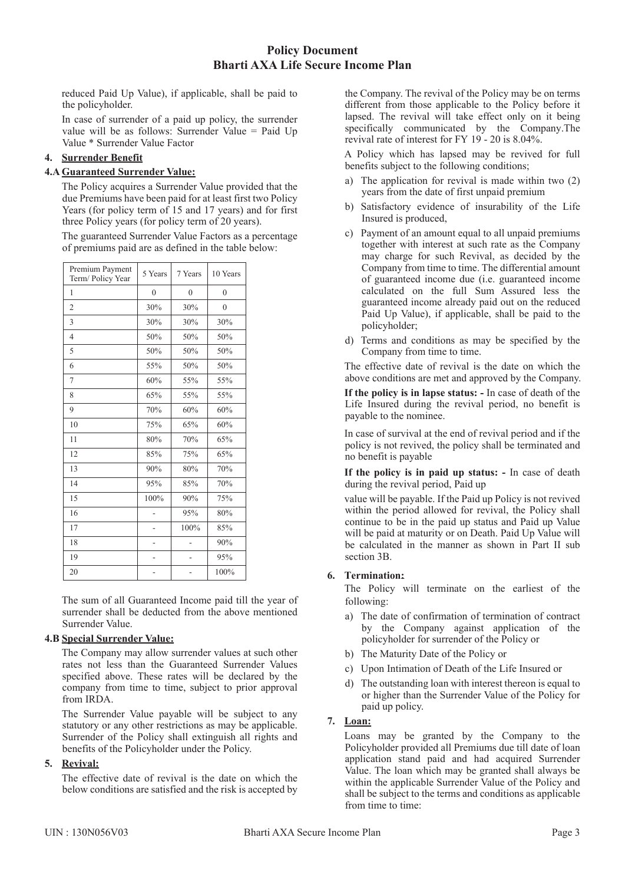reduced Paid Up Value), if applicable, shall be paid to the policyholder.

In case of surrender of a paid up policy, the surrender value will be as follows: Surrender Value = Paid Up Value \* Surrender Value Factor

# **4. Surrender Benefit**

### **4.A Guaranteed Surrender Value:**

The Policy acquires a Surrender Value provided that the due Premiums have been paid for at least first two Policy Years (for policy term of 15 and 17 years) and for first three Policy years (for policy term of 20 years).

The guaranteed Surrender Value Factors as a percentage of premiums paid are as defined in the table below:

| Premium Payment<br>Term/Policy Year | 5 Years        | 7 Years      | 10 Years     |
|-------------------------------------|----------------|--------------|--------------|
| 1                                   | $\overline{0}$ | $\mathbf{0}$ | $\mathbf{0}$ |
| $\overline{2}$                      | 30%            | 30%          | $\theta$     |
| 3                                   | 30%            | 30%          | 30%          |
| $\overline{4}$                      | 50%            | 50%          | 50%          |
| 5                                   | 50%            | 50%          | 50%          |
| 6                                   | 55%            | 50%          | 50%          |
| $\overline{7}$                      | 60%            | 55%          | 55%          |
| 8                                   | 65%            | 55%          | 55%          |
| 9                                   | 70%            | 60%          | 60%          |
| 10                                  | 75%            | 65%          | 60%          |
| 11                                  | 80%            | 70%          | 65%          |
| 12                                  | 85%            | 75%          | 65%          |
| 13                                  | 90%            | 80%          | 70%          |
| 14                                  | 95%            | 85%          | 70%          |
| 15                                  | 100%           | 90%          | 75%          |
| 16                                  |                | 95%          | 80%          |
| 17                                  |                | 100%         | 85%          |
| 18                                  | ÷              | ÷            | 90%          |
| 19                                  | -              |              | 95%          |
| 20                                  |                |              | 100%         |

The sum of all Guaranteed Income paid till the year of surrender shall be deducted from the above mentioned Surrender Value.

## **4.B Special Surrender Value:**

The Company may allow surrender values at such other rates not less than the Guaranteed Surrender Values specified above. These rates will be declared by the company from time to time, subject to prior approval from IRDA.

The Surrender Value payable will be subject to any statutory or any other restrictions as may be applicable. Surrender of the Policy shall extinguish all rights and benefits of the Policyholder under the Policy.

# **5. Revival:**

The effective date of revival is the date on which the below conditions are satisfied and the risk is accepted by

the Company. The revival of the Policy may be on terms different from those applicable to the Policy before it lapsed. The revival will take effect only on it being specifically communicated by the Company.The revival rate of interest for FY 19 - 20 is 8.04%.

A Policy which has lapsed may be revived for full benefits subject to the following conditions;

- a) The application for revival is made within two (2) years from the date of first unpaid premium
- b) Satisfactory evidence of insurability of the Life Insured is produced,
- c) Payment of an amount equal to all unpaid premiums together with interest at such rate as the Company may charge for such Revival, as decided by the Company from time to time. The differential amount of guaranteed income due (i.e. guaranteed income calculated on the full Sum Assured less the guaranteed income already paid out on the reduced Paid Up Value), if applicable, shall be paid to the policyholder;
- d) Terms and conditions as may be specified by the Company from time to time.

The effective date of revival is the date on which the above conditions are met and approved by the Company.

**If the policy is in lapse status: -** In case of death of the Life Insured during the revival period, no benefit is payable to the nominee.

In case of survival at the end of revival period and if the policy is not revived, the policy shall be terminated and no benefit is payable

**If the policy is in paid up status: -** In case of death during the revival period, Paid up

value will be payable. If the Paid up Policy is not revived within the period allowed for revival, the Policy shall continue to be in the paid up status and Paid up Value will be paid at maturity or on Death. Paid Up Value will be calculated in the manner as shown in Part II sub section 3B.

## **6. Termination:**

The Policy will terminate on the earliest of the following:

- a) The date of confirmation of termination of contract by the Company against application of the policyholder for surrender of the Policy or
- b) The Maturity Date of the Policy or
- c) Upon Intimation of Death of the Life Insured or
- d) The outstanding loan with interest thereon is equal to or higher than the Surrender Value of the Policy for paid up policy.

# **7. Loan:**

Loans may be granted by the Company to the Policyholder provided all Premiums due till date of loan application stand paid and had acquired Surrender Value. The loan which may be granted shall always be within the applicable Surrender Value of the Policy and shall be subject to the terms and conditions as applicable from time to time: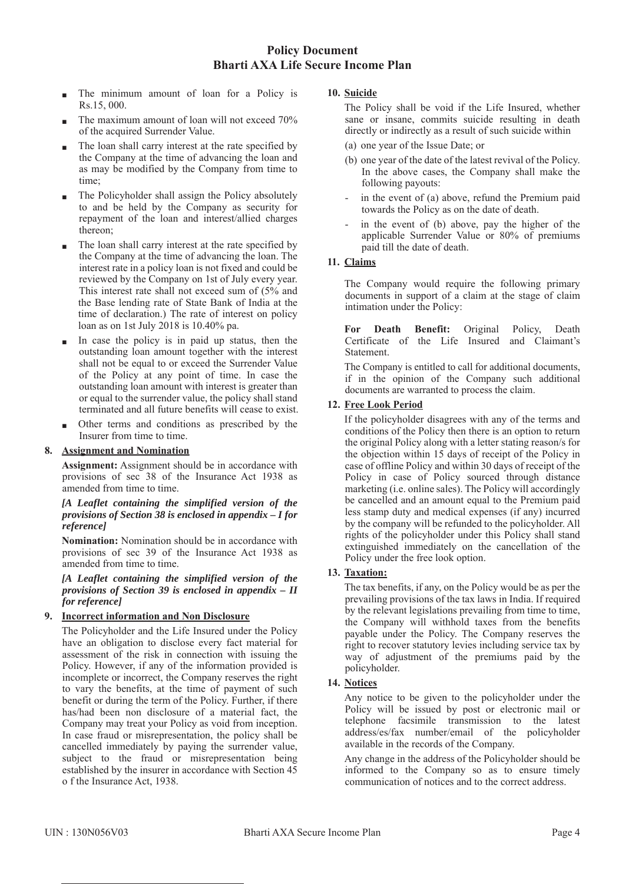- The minimum amount of loan for a Policy is Rs.15, 000.
- The maximum amount of loan will not exceed 70% of the acquired Surrender Value.
- The loan shall carry interest at the rate specified by the Company at the time of advancing the loan and as may be modified by the Company from time to time;
- The Policyholder shall assign the Policy absolutely to and be held by the Company as security for repayment of the loan and interest/allied charges thereon;
- The loan shall carry interest at the rate specified by the Company at the time of advancing the loan. The interest rate in a policy loan is not fixed and could be reviewed by the Company on 1st of July every year. This interest rate shall not exceed sum of (5% and the Base lending rate of State Bank of India at the time of declaration.) The rate of interest on policy loan as on 1st July 2018 is 10.40% pa.
- In case the policy is in paid up status, then the outstanding loan amount together with the interest shall not be equal to or exceed the Surrender Value of the Policy at any point of time. In case the outstanding loan amount with interest is greater than or equal to the surrender value, the policy shall stand terminated and all future benefits will cease to exist.
- Other terms and conditions as prescribed by the Insurer from time to time.

## **8. Assignment and Nomination**

**Assignment:** Assignment should be in accordance with provisions of sec 38 of the Insurance Act 1938 as amended from time to time.

### *[A Leaflet containing the simplified version of the provisions of Section 38 is enclosed in appendix – I for reference]*

**Nomination:** Nomination should be in accordance with provisions of sec 39 of the Insurance Act 1938 as amended from time to time.

### *[A Leaflet containing the simplified version of the provisions of Section 39 is enclosed in appendix – II for reference]*

## **9. Incorrect information and Non Disclosure**

The Policyholder and the Life Insured under the Policy have an obligation to disclose every fact material for assessment of the risk in connection with issuing the Policy. However, if any of the information provided is incomplete or incorrect, the Company reserves the right to vary the benefits, at the time of payment of such benefit or during the term of the Policy. Further, if there has/had been non disclosure of a material fact, the Company may treat your Policy as void from inception. In case fraud or misrepresentation, the policy shall be cancelled immediately by paying the surrender value, subject to the fraud or misrepresentation being established by the insurer in accordance with Section 45 o f the Insurance Act, 1938.

# **10. Suicide**

The Policy shall be void if the Life Insured, whether sane or insane, commits suicide resulting in death directly or indirectly as a result of such suicide within

- (a) one year of the Issue Date; or
- (b) one year of the date of the latest revival of the Policy. In the above cases, the Company shall make the following payouts:
- in the event of (a) above, refund the Premium paid towards the Policy as on the date of death.
- in the event of (b) above, pay the higher of the applicable Surrender Value or 80% of premiums paid till the date of death.

# **11. Claims**

The Company would require the following primary documents in support of a claim at the stage of claim intimation under the Policy:

**For Death Benefit:** Original Policy, Death Certificate of the Life Insured and Claimant's **Statement** 

The Company is entitled to call for additional documents, if in the opinion of the Company such additional documents are warranted to process the claim.

# **12. Free Look Period**

If the policyholder disagrees with any of the terms and conditions of the Policy then there is an option to return the original Policy along with a letter stating reason/s for the objection within 15 days of receipt of the Policy in case of offline Policy and within 30 days of receipt of the Policy in case of Policy sourced through distance marketing (i.e. online sales). The Policy will accordingly be cancelled and an amount equal to the Premium paid less stamp duty and medical expenses (if any) incurred by the company will be refunded to the policyholder. All rights of the policyholder under this Policy shall stand extinguished immediately on the cancellation of the Policy under the free look option.

# **13. Taxation:**

The tax benefits, if any, on the Policy would be as per the prevailing provisions of the tax laws in India. If required by the relevant legislations prevailing from time to time, the Company will withhold taxes from the benefits payable under the Policy. The Company reserves the right to recover statutory levies including service tax by way of adjustment of the premiums paid by the policyholder.

## **14. Notices**

Any notice to be given to the policyholder under the Policy will be issued by post or electronic mail or telephone facsimile transmission to the latest address/es/fax number/email of the policyholder available in the records of the Company.

Any change in the address of the Policyholder should be informed to the Company so as to ensure timely communication of notices and to the correct address.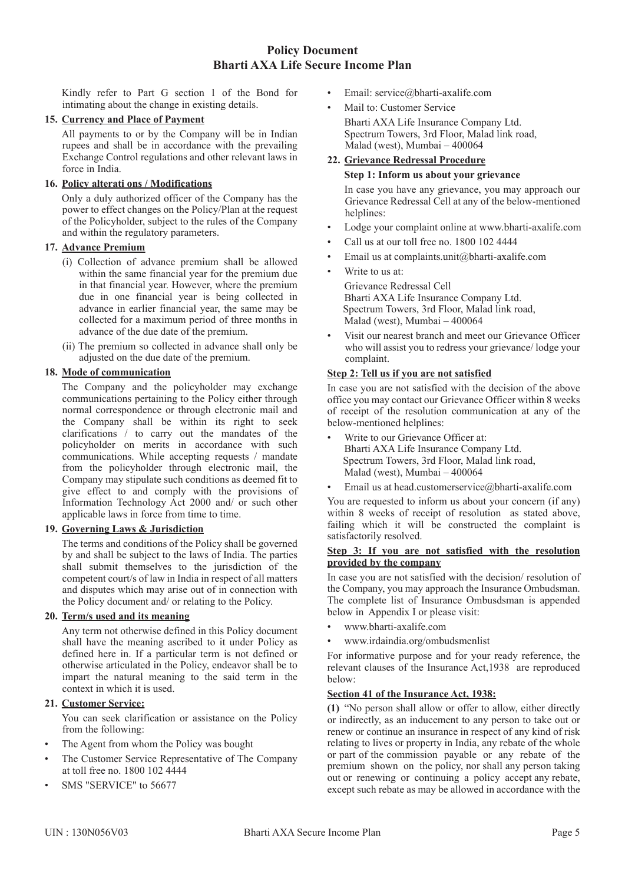Kindly refer to Part G section 1 of the Bond for intimating about the change in existing details.

### **15. Currency and Place of Payment**

All payments to or by the Company will be in Indian rupees and shall be in accordance with the prevailing Exchange Control regulations and other relevant laws in force in India.

### **16. Policy alterati ons / Modifications**

Only a duly authorized officer of the Company has the power to effect changes on the Policy/Plan at the request of the Policyholder, subject to the rules of the Company and within the regulatory parameters.

### **17. Advance Premium**

- (i) Collection of advance premium shall be allowed within the same financial year for the premium due in that financial year. However, where the premium due in one financial year is being collected in advance in earlier financial year, the same may be collected for a maximum period of three months in advance of the due date of the premium.
- (ii) The premium so collected in advance shall only be adjusted on the due date of the premium.

### **18. Mode of communication**

The Company and the policyholder may exchange communications pertaining to the Policy either through normal correspondence or through electronic mail and the Company shall be within its right to seek clarifications / to carry out the mandates of the policyholder on merits in accordance with such communications. While accepting requests / mandate from the policyholder through electronic mail, the Company may stipulate such conditions as deemed fit to give effect to and comply with the provisions of Information Technology Act 2000 and/ or such other applicable laws in force from time to time.

## **19. Governing Laws & Jurisdiction**

The terms and conditions of the Policy shall be governed by and shall be subject to the laws of India. The parties shall submit themselves to the jurisdiction of the competent court/s of law in India in respect of all matters and disputes which may arise out of in connection with the Policy document and/ or relating to the Policy.

### **20. Term/s used and its meaning**

Any term not otherwise defined in this Policy document shall have the meaning ascribed to it under Policy as defined here in. If a particular term is not defined or otherwise articulated in the Policy, endeavor shall be to impart the natural meaning to the said term in the context in which it is used.

## **21. Customer Service:**

You can seek clarification or assistance on the Policy from the following:

- The Agent from whom the Policy was bought
- The Customer Service Representative of The Company at toll free no. 1800 102 4444
- SMS "SERVICE" to 56677
- Email: service@bharti-axalife.com
- Mail to: Customer Service Bharti AXA Life Insurance Company Ltd. Spectrum Towers, 3rd Floor, Malad link road, Malad (west), Mumbai – 400064

# **22. Grievance Redressal Procedure**

#### **Step 1: Inform us about your grievance**

In case you have any grievance, you may approach our Grievance Redressal Cell at any of the below-mentioned helplines:

- Lodge your complaint online at www.bharti-axalife.com
- Call us at our toll free no. 1800 102 4444
- Email us at complaints.unit@bharti-axalife.com
- Write to us at:

Grievance Redressal Cell Bharti AXA Life Insurance Company Ltd. Spectrum Towers, 3rd Floor, Malad link road, Malad (west), Mumbai – 400064

• Visit our nearest branch and meet our Grievance Officer who will assist you to redress your grievance/ lodge your complaint.

### **Step 2: Tell us if you are not satisfied**

In case you are not satisfied with the decision of the above office you may contact our Grievance Officer within 8 weeks of receipt of the resolution communication at any of the below-mentioned helplines:

- Write to our Grievance Officer at: Bharti AXA Life Insurance Company Ltd. Spectrum Towers, 3rd Floor, Malad link road, Malad (west), Mumbai – 400064
- Email us at head.customerservice@bharti-axalife.com

You are requested to inform us about your concern (if any) within 8 weeks of receipt of resolution as stated above, failing which it will be constructed the complaint is satisfactorily resolved.

#### **Step 3: If you are not satisfied with the resolution provided by the company**

In case you are not satisfied with the decision/ resolution of the Company, you may approach the Insurance Ombudsman. The complete list of Insurance Ombusdsman is appended below in Appendix I or please visit:

- www.bharti-axalife.com
- www.irdaindia.org/ombudsmenlist

For informative purpose and for your ready reference, the relevant clauses of the Insurance Act,1938 are reproduced below:

#### **Section 41 of the Insurance Act, 1938:**

**(1)** "No person shall allow or offer to allow, either directly or indirectly, as an inducement to any person to take out or renew or continue an insurance in respect of any kind of risk relating to lives or property in India, any rebate of the whole or part of the commission payable or any rebate of the premium shown on the policy, nor shall any person taking out or renewing or continuing a policy accept any rebate, except such rebate as may be allowed in accordance with the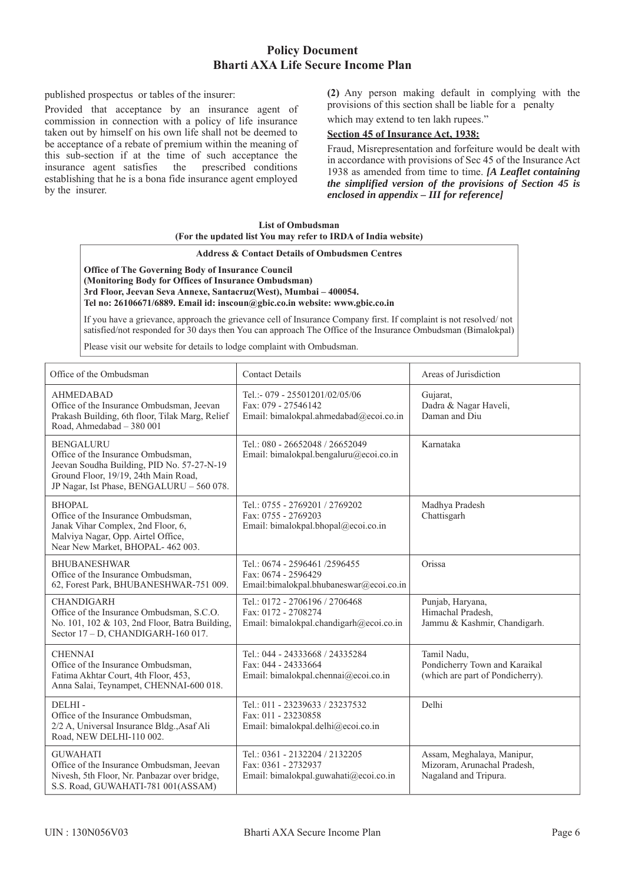published prospectus or tables of the insurer:

Provided that acceptance by an insurance agent of commission in connection with a policy of life insurance taken out by himself on his own life shall not be deemed to be acceptance of a rebate of premium within the meaning of this sub-section if at the time of such acceptance the insurance agent satisfies the prescribed conditions establishing that he is a bona fide insurance agent employed by the insurer.

**(2)** Any person making default in complying with the provisions of this section shall be liable for a penalty

which may extend to ten lakh rupees."

### **Section 45 of Insurance Act, 1938:**

Fraud, Misrepresentation and forfeiture would be dealt with in accordance with provisions of Sec 45 of the Insurance Act 1938 as amended from time to time. *[A Leaflet containing the simplified version of the provisions of Section 45 is enclosed in appendix – III for reference]*

### **List of Ombudsman (For the updated list You may refer to IRDA of India website)**

#### **Address & Contact Details of Ombudsmen Centres**

**Office of The Governing Body of Insurance Council (Monitoring Body for Offices of Insurance Ombudsman) 3rd Floor, Jeevan Seva Annexe, Santacruz(West), Mumbai – 400054. Tel no: 26106671/6889. Email id: inscoun@gbic.co.in website: www.gbic.co.in**

If you have a grievance, approach the grievance cell of Insurance Company first. If complaint is not resolved/ not satisfied/not responded for 30 days then You can approach The Office of the Insurance Ombudsman (Bimalokpal)

Please visit our website for details to lodge complaint with Ombudsman.

| Office of the Ombudsman                                                                                                                                                                   | <b>Contact Details</b>                                                                           | Areas of Jurisdiction                                                              |
|-------------------------------------------------------------------------------------------------------------------------------------------------------------------------------------------|--------------------------------------------------------------------------------------------------|------------------------------------------------------------------------------------|
| <b>AHMEDABAD</b><br>Office of the Insurance Ombudsman, Jeevan<br>Prakash Building, 6th floor, Tilak Marg, Relief<br>Road, Ahmedabad - 380 001                                             | Tel.:- 079 - 25501201/02/05/06<br>Fax: 079 - 27546142<br>Email: bimalokpal.ahmedabad@ecoi.co.in  | Gujarat,<br>Dadra & Nagar Haveli,<br>Daman and Diu                                 |
| <b>BENGALURU</b><br>Office of the Insurance Ombudsman,<br>Jeevan Soudha Building, PID No. 57-27-N-19<br>Ground Floor, 19/19, 24th Main Road,<br>JP Nagar, Ist Phase, BENGALURU - 560 078. | Tel.: 080 - 26652048 / 26652049<br>Email: bimalokpal.bengaluru@ecoi.co.in                        | Karnataka                                                                          |
| <b>BHOPAL</b><br>Office of the Insurance Ombudsman,<br>Janak Vihar Complex, 2nd Floor, 6,<br>Malviya Nagar, Opp. Airtel Office,<br>Near New Market, BHOPAL-462 003.                       | Tel.: 0755 - 2769201 / 2769202<br>Fax: 0755 - 2769203<br>Email: bimalokpal.bhopal@ecoi.co.in     | Madhya Pradesh<br>Chattisgarh                                                      |
| <b>BHUBANESHWAR</b><br>Office of the Insurance Ombudsman,<br>62, Forest Park, BHUBANESHWAR-751 009.                                                                                       | Tel.: 0674 - 2596461 /2596455<br>Fax: 0674 - 2596429<br>Email:bimalokpal.bhubaneswar@ecoi.co.in  | Orissa                                                                             |
| <b>CHANDIGARH</b><br>Office of the Insurance Ombudsman, S.C.O.<br>No. 101, 102 & 103, 2nd Floor, Batra Building,<br>Sector 17 - D, CHANDIGARH-160 017.                                    | Tel.: 0172 - 2706196 / 2706468<br>Fax: 0172 - 2708274<br>Email: bimalokpal.chandigarh@ecoi.co.in | Punjab, Haryana,<br>Himachal Pradesh,<br>Jammu & Kashmir, Chandigarh.              |
| <b>CHENNAI</b><br>Office of the Insurance Ombudsman,<br>Fatima Akhtar Court, 4th Floor, 453,<br>Anna Salai, Teynampet, CHENNAI-600 018.                                                   | Tel.: 044 - 24333668 / 24335284<br>Fax: 044 - 24333664<br>Email: bimalokpal.chennai@ecoi.co.in   | Tamil Nadu,<br>Pondicherry Town and Karaikal<br>(which are part of Pondicherry).   |
| DELHI-<br>Office of the Insurance Ombudsman,<br>2/2 A, Universal Insurance Bldg., Asaf Ali<br>Road, NEW DELHI-110 002.                                                                    | Tel.: 011 - 23239633 / 23237532<br>Fax: 011 - 23230858<br>Email: bimalokpal.delhi@ecoi.co.in     | Delhi                                                                              |
| <b>GUWAHATI</b><br>Office of the Insurance Ombudsman, Jeevan<br>Nivesh, 5th Floor, Nr. Panbazar over bridge,<br>S.S. Road, GUWAHATI-781 001(ASSAM)                                        | Tel.: 0361 - 2132204 / 2132205<br>Fax: 0361 - 2732937<br>Email: bimalokpal.guwahati@ecoi.co.in   | Assam, Meghalaya, Manipur,<br>Mizoram, Arunachal Pradesh,<br>Nagaland and Tripura. |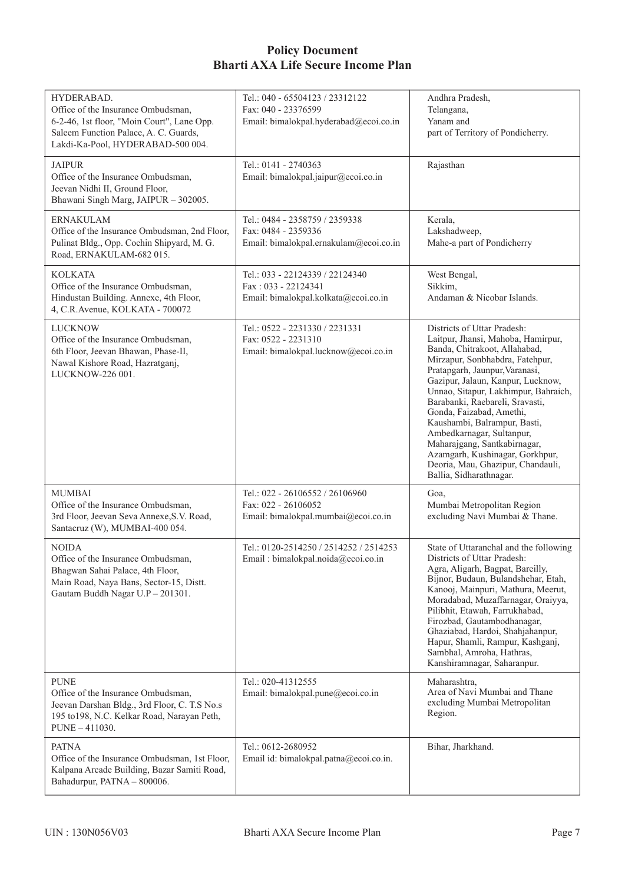| HYDERABAD.<br>Office of the Insurance Ombudsman,<br>6-2-46, 1st floor, "Moin Court", Lane Opp.<br>Saleem Function Palace, A. C. Guards,<br>Lakdi-Ka-Pool, HYDERABAD-500 004. | Tel.: 040 - 65504123 / 23312122<br>Fax: 040 - 23376599<br>Email: bimalokpal.hyderabad@ecoi.co.in | Andhra Pradesh,<br>Telangana,<br>Yanam and<br>part of Territory of Pondicherry.                                                                                                                                                                                                                                                                                                                                                                                                                                     |
|------------------------------------------------------------------------------------------------------------------------------------------------------------------------------|--------------------------------------------------------------------------------------------------|---------------------------------------------------------------------------------------------------------------------------------------------------------------------------------------------------------------------------------------------------------------------------------------------------------------------------------------------------------------------------------------------------------------------------------------------------------------------------------------------------------------------|
| <b>JAIPUR</b><br>Office of the Insurance Ombudsman,<br>Jeevan Nidhi II, Ground Floor,<br>Bhawani Singh Marg, JAIPUR - 302005.                                                | Tel.: 0141 - 2740363<br>Email: bimalokpal.jaipur@ecoi.co.in                                      | Rajasthan                                                                                                                                                                                                                                                                                                                                                                                                                                                                                                           |
| <b>ERNAKULAM</b><br>Office of the Insurance Ombudsman, 2nd Floor,<br>Pulinat Bldg., Opp. Cochin Shipyard, M. G.<br>Road, ERNAKULAM-682 015.                                  | Tel.: 0484 - 2358759 / 2359338<br>Fax: 0484 - 2359336<br>Email: bimalokpal.ernakulam@ecoi.co.in  | Kerala,<br>Lakshadweep,<br>Mahe-a part of Pondicherry                                                                                                                                                                                                                                                                                                                                                                                                                                                               |
| <b>KOLKATA</b><br>Office of the Insurance Ombudsman,<br>Hindustan Building. Annexe, 4th Floor,<br>4, C.R. Avenue, KOLKATA - 700072                                           | Tel.: 033 - 22124339 / 22124340<br>Fax: 033 - 22124341<br>Email: bimalokpal.kolkata@ecoi.co.in   | West Bengal,<br>Sikkim,<br>Andaman & Nicobar Islands.                                                                                                                                                                                                                                                                                                                                                                                                                                                               |
| <b>LUCKNOW</b><br>Office of the Insurance Ombudsman,<br>6th Floor, Jeevan Bhawan, Phase-II,<br>Nawal Kishore Road, Hazratganj,<br>LUCKNOW-226 001.                           | Tel.: 0522 - 2231330 / 2231331<br>Fax: 0522 - 2231310<br>Email: bimalokpal.lucknow@ecoi.co.in    | Districts of Uttar Pradesh:<br>Laitpur, Jhansi, Mahoba, Hamirpur,<br>Banda, Chitrakoot, Allahabad,<br>Mirzapur, Sonbhabdra, Fatehpur,<br>Pratapgarh, Jaunpur, Varanasi,<br>Gazipur, Jalaun, Kanpur, Lucknow,<br>Unnao, Sitapur, Lakhimpur, Bahraich,<br>Barabanki, Raebareli, Sravasti,<br>Gonda, Faizabad, Amethi,<br>Kaushambi, Balrampur, Basti,<br>Ambedkarnagar, Sultanpur,<br>Maharajgang, Santkabirnagar,<br>Azamgarh, Kushinagar, Gorkhpur,<br>Deoria, Mau, Ghazipur, Chandauli,<br>Ballia, Sidharathnagar. |
| MUMBAI<br>Office of the Insurance Ombudsman,<br>3rd Floor, Jeevan Seva Annexe, S.V. Road,<br>Santacruz (W), MUMBAI-400 054.                                                  | Tel.: 022 - 26106552 / 26106960<br>Fax: 022 - 26106052<br>Email: bimalokpal.mumbai@ecoi.co.in    | Goa,<br>Mumbai Metropolitan Region<br>excluding Navi Mumbai & Thane.                                                                                                                                                                                                                                                                                                                                                                                                                                                |
| <b>NOIDA</b><br>Office of the Insurance Ombudsman,<br>Bhagwan Sahai Palace, 4th Floor,<br>Main Road, Naya Bans, Sector-15, Distt.<br>Gautam Buddh Nagar U.P - 201301.        | Tel.: 0120-2514250 / 2514252 / 2514253<br>Email: bimalokpal.noida@ecoi.co.in                     | State of Uttaranchal and the following<br>Districts of Uttar Pradesh:<br>Agra, Aligarh, Bagpat, Bareilly,<br>Bijnor, Budaun, Bulandshehar, Etah,<br>Kanooj, Mainpuri, Mathura, Meerut,<br>Moradabad, Muzaffarnagar, Oraiyya,<br>Pilibhit, Etawah, Farrukhabad,<br>Firozbad, Gautambodhanagar,<br>Ghaziabad, Hardoi, Shahjahanpur,<br>Hapur, Shamli, Rampur, Kashganj,<br>Sambhal, Amroha, Hathras,<br>Kanshiramnagar, Saharanpur.                                                                                   |
| <b>PUNE</b><br>Office of the Insurance Ombudsman,<br>Jeevan Darshan Bldg., 3rd Floor, C. T.S No.s<br>195 to198, N.C. Kelkar Road, Narayan Peth,<br>PUNE - 411030.            | Tel.: 020-41312555<br>Email: bimalokpal.pune@ecoi.co.in                                          | Maharashtra,<br>Area of Navi Mumbai and Thane<br>excluding Mumbai Metropolitan<br>Region.                                                                                                                                                                                                                                                                                                                                                                                                                           |
| <b>PATNA</b><br>Office of the Insurance Ombudsman, 1st Floor,<br>Kalpana Arcade Building, Bazar Samiti Road,<br>Bahadurpur, PATNA - 800006.                                  | Tel.: 0612-2680952<br>Email id: bimalokpal.patna@ecoi.co.in.                                     | Bihar, Jharkhand.                                                                                                                                                                                                                                                                                                                                                                                                                                                                                                   |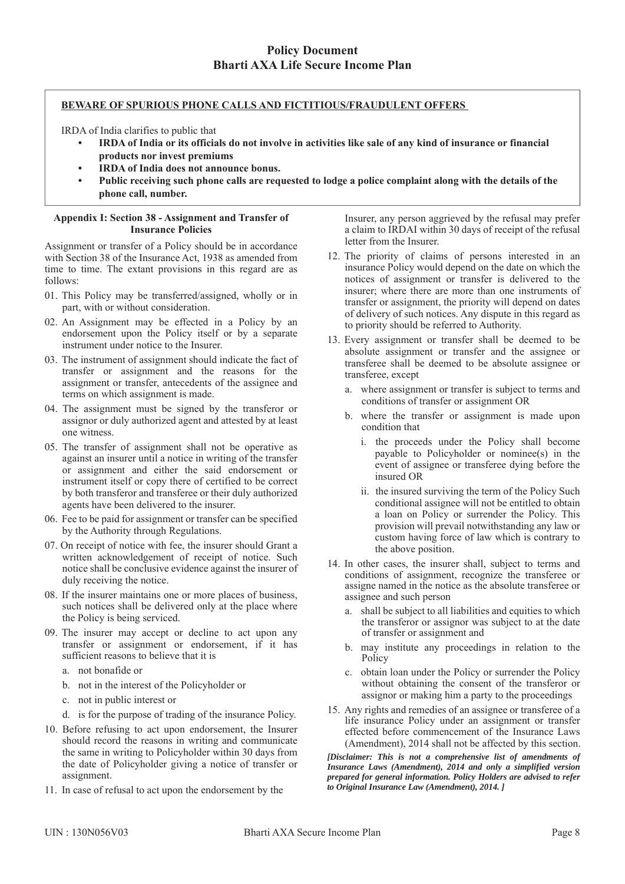## **BEWARE OF SPURIOUS PHONE CALLS AND FICTITIOUS/FRAUDULENT OFFERS**

IRDA of India clarifies to public that

- **IRDA of India or its officials do not involve in activities like sale of any kind of insurance or financial products nor invest premiums**
- **IRDA of India does not announce bonus.**
- **Public receiving such phone calls are requested to lodge a police complaint along with the details of the phone call, number.**

#### **Appendix I: Section 38 - Assignment and Transfer of Insurance Policies**

Assignment or transfer of a Policy should be in accordance with Section 38 of the Insurance Act, 1938 as amended from time to time. The extant provisions in this regard are as follows:

- 01. This Policy may be transferred/assigned, wholly or in part, with or without consideration.
- 02. An Assignment may be effected in a Policy by an endorsement upon the Policy itself or by a separate instrument under notice to the Insurer.
- 03. The instrument of assignment should indicate the fact of transfer or assignment and the reasons for the assignment or transfer, antecedents of the assignee and terms on which assignment is made.
- 04. The assignment must be signed by the transferor or assignor or duly authorized agent and attested by at least one witness.
- 05. The transfer of assignment shall not be operative as against an insurer until a notice in writing of the transfer or assignment and either the said endorsement or instrument itself or copy there of certified to be correct by both transferor and transferee or their duly authorized agents have been delivered to the insurer.
- 06. Fee to be paid for assignment or transfer can be specified by the Authority through Regulations.
- 07. On receipt of notice with fee, the insurer should Grant a written acknowledgement of receipt of notice. Such notice shall be conclusive evidence against the insurer of duly receiving the notice.
- 08. If the insurer maintains one or more places of business, such notices shall be delivered only at the place where the Policy is being serviced.
- 09. The insurer may accept or decline to act upon any transfer or assignment or endorsement, if it has sufficient reasons to believe that it is
	- a. not bonafide or
	- b. not in the interest of the Policyholder or
	- c. not in public interest or
	- d. is for the purpose of trading of the insurance Policy.
- 10. Before refusing to act upon endorsement, the Insurer should record the reasons in writing and communicate the same in writing to Policyholder within 30 days from the date of Policyholder giving a notice of transfer or assignment.
- 11. In case of refusal to act upon the endorsement by the

Insurer, any person aggrieved by the refusal may prefer a claim to IRDAI within 30 days of receipt of the refusal letter from the Insurer.

- 12. The priority of claims of persons interested in an insurance Policy would depend on the date on which the notices of assignment or transfer is delivered to the insurer; where there are more than one instruments of transfer or assignment, the priority will depend on dates of delivery of such notices. Any dispute in this regard as to priority should be referred to Authority.
- 13. Every assignment or transfer shall be deemed to be absolute assignment or transfer and the assignee or transferee shall be deemed to be absolute assignee or transferee, except
	- a. where assignment or transfer is subject to terms and conditions of transfer or assignment OR
	- b. where the transfer or assignment is made upon condition that
		- i. the proceeds under the Policy shall become payable to Policyholder or nominee(s) in the event of assignee or transferee dying before the insured OR
		- ii. the insured surviving the term of the Policy Such conditional assignee will not be entitled to obtain a loan on Policy or surrender the Policy. This provision will prevail notwithstanding any law or custom having force of law which is contrary to the above position.
- 14. In other cases, the insurer shall, subject to terms and conditions of assignment, recognize the transferee or assigne named in the notice as the absolute transferee or assignee and such person
	- a. shall be subject to all liabilities and equities to which the transferor or assignor was subject to at the date of transfer or assignment and
	- b. may institute any proceedings in relation to the Policy
	- c. obtain loan under the Policy or surrender the Policy without obtaining the consent of the transferor or assignor or making him a party to the proceedings
- 15. Any rights and remedies of an assignee or transferee of a life insurance Policy under an assignment or transfer effected before commencement of the Insurance Laws (Amendment), 2014 shall not be affected by this section.

*[Disclaimer: This is not a comprehensive list of amendments of Insurance Laws (Amendment), 2014 and only a simplified version prepared for general information. Policy Holders are advised to refer to Original Insurance Law (Amendment), 2014. ]*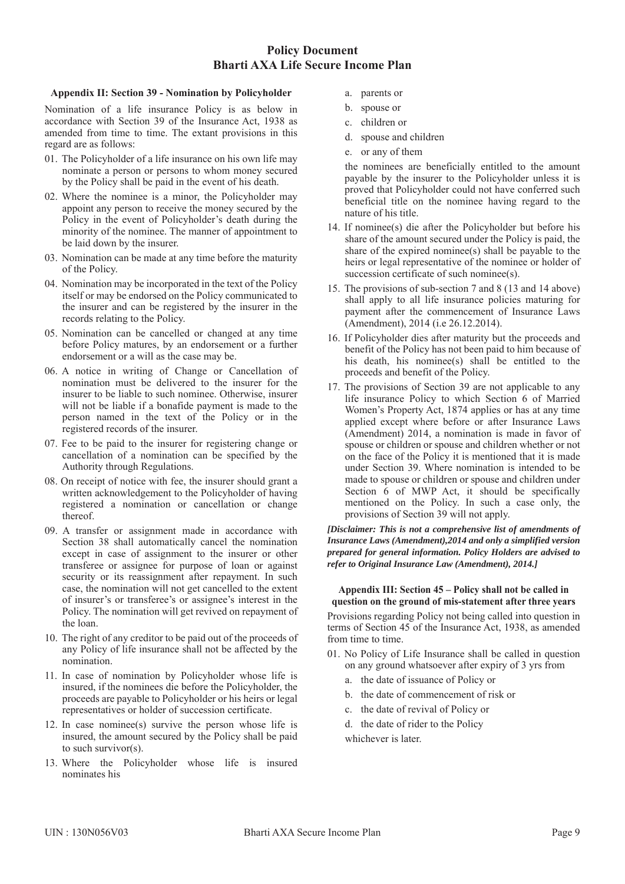### **Appendix II: Section 39 - Nomination by Policyholder**

Nomination of a life insurance Policy is as below in accordance with Section 39 of the Insurance Act, 1938 as amended from time to time. The extant provisions in this regard are as follows:

- 01. The Policyholder of a life insurance on his own life may nominate a person or persons to whom money secured by the Policy shall be paid in the event of his death.
- 02. Where the nominee is a minor, the Policyholder may appoint any person to receive the money secured by the Policy in the event of Policyholder's death during the minority of the nominee. The manner of appointment to be laid down by the insurer.
- 03. Nomination can be made at any time before the maturity of the Policy.
- 04. Nomination may be incorporated in the text of the Policy itself or may be endorsed on the Policy communicated to the insurer and can be registered by the insurer in the records relating to the Policy.
- 05. Nomination can be cancelled or changed at any time before Policy matures, by an endorsement or a further endorsement or a will as the case may be.
- 06. A notice in writing of Change or Cancellation of nomination must be delivered to the insurer for the insurer to be liable to such nominee. Otherwise, insurer will not be liable if a bonafide payment is made to the person named in the text of the Policy or in the registered records of the insurer.
- 07. Fee to be paid to the insurer for registering change or cancellation of a nomination can be specified by the Authority through Regulations.
- 08. On receipt of notice with fee, the insurer should grant a written acknowledgement to the Policyholder of having registered a nomination or cancellation or change thereof.
- 09. A transfer or assignment made in accordance with Section 38 shall automatically cancel the nomination except in case of assignment to the insurer or other transferee or assignee for purpose of loan or against security or its reassignment after repayment. In such case, the nomination will not get cancelled to the extent of insurer's or transferee's or assignee's interest in the Policy. The nomination will get revived on repayment of the loan.
- 10. The right of any creditor to be paid out of the proceeds of any Policy of life insurance shall not be affected by the nomination.
- 11. In case of nomination by Policyholder whose life is insured, if the nominees die before the Policyholder, the proceeds are payable to Policyholder or his heirs or legal representatives or holder of succession certificate.
- 12. In case nominee(s) survive the person whose life is insured, the amount secured by the Policy shall be paid to such survivor(s).
- 13. Where the Policyholder whose life is insured nominates his
- a. parents or
- b. spouse or
- c. children or
- d. spouse and children
- e. or any of them

the nominees are beneficially entitled to the amount payable by the insurer to the Policyholder unless it is proved that Policyholder could not have conferred such beneficial title on the nominee having regard to the nature of his title.

- 14. If nominee(s) die after the Policyholder but before his share of the amount secured under the Policy is paid, the share of the expired nominee(s) shall be payable to the heirs or legal representative of the nominee or holder of succession certificate of such nominee(s).
- 15. The provisions of sub-section 7 and 8 (13 and 14 above) shall apply to all life insurance policies maturing for payment after the commencement of Insurance Laws (Amendment), 2014 (i.e 26.12.2014).
- 16. If Policyholder dies after maturity but the proceeds and benefit of the Policy has not been paid to him because of his death, his nominee(s) shall be entitled to the proceeds and benefit of the Policy.
- 17. The provisions of Section 39 are not applicable to any life insurance Policy to which Section 6 of Married Women's Property Act, 1874 applies or has at any time applied except where before or after Insurance Laws (Amendment) 2014, a nomination is made in favor of spouse or children or spouse and children whether or not on the face of the Policy it is mentioned that it is made under Section 39. Where nomination is intended to be made to spouse or children or spouse and children under Section 6 of MWP Act, it should be specifically mentioned on the Policy. In such a case only, the provisions of Section 39 will not apply.

*[Disclaimer: This is not a comprehensive list of amendments of Insurance Laws (Amendment),2014 and only a simplified version prepared for general information. Policy Holders are advised to refer to Original Insurance Law (Amendment), 2014.]*

#### **Appendix III: Section 45 – Policy shall not be called in question on the ground of mis-statement after three years**

Provisions regarding Policy not being called into question in terms of Section 45 of the Insurance Act, 1938, as amended from time to time.

- 01. No Policy of Life Insurance shall be called in question on any ground whatsoever after expiry of 3 yrs from
	- a. the date of issuance of Policy or
	- b. the date of commencement of risk or
	- c. the date of revival of Policy or
	- d. the date of rider to the Policy
	- whichever is later.